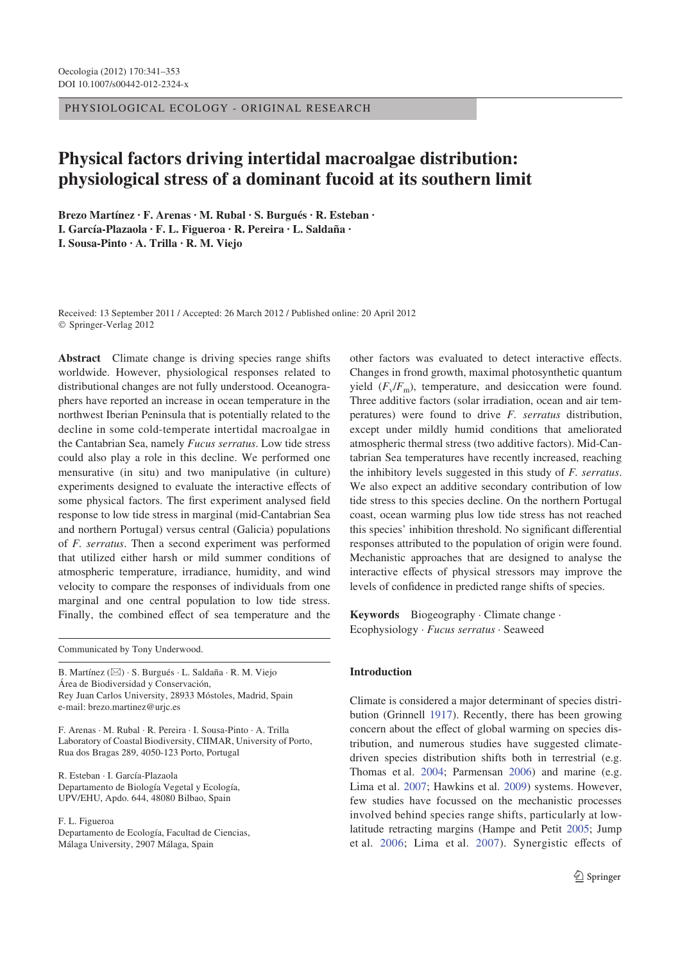PHYSIOLOGICAL ECOLOGY - ORIGINAL RESEARCH

# **Physical factors driving intertidal macroalgae distribution: physiological stress of a dominant fucoid at its southern limit**

**Brezo Martínez · F. Arenas · M. Rubal · S. Burgués · R. Esteban · I. García-Plazaola · F. L. Figueroa · R. Pereira · L. Saldaña · I. Sousa-Pinto · A. Trilla · R. M. Viejo** 

Received: 13 September 2011 / Accepted: 26 March 2012 / Published online: 20 April 2012 Springer-Verlag 2012

**Abstract** Climate change is driving species range shifts worldwide. However, physiological responses related to distributional changes are not fully understood. Oceanographers have reported an increase in ocean temperature in the northwest Iberian Peninsula that is potentially related to the decline in some cold-temperate intertidal macroalgae in the Cantabrian Sea, namely *Fucus serratus*. Low tide stress could also play a role in this decline. We performed one mensurative (in situ) and two manipulative (in culture) experiments designed to evaluate the interactive effects of some physical factors. The first experiment analysed field response to low tide stress in marginal (mid-Cantabrian Sea and northern Portugal) versus central (Galicia) populations of *F. serratus*. Then a second experiment was performed that utilized either harsh or mild summer conditions of atmospheric temperature, irradiance, humidity, and wind velocity to compare the responses of individuals from one marginal and one central population to low tide stress. Finally, the combined effect of sea temperature and the

Communicated by Tony Underwood.

B. Martínez (&) · S. Burgués · L. Saldaña · R. M. Viejo Área de Biodiversidad y Conservación, Rey Juan Carlos University, 28933 Móstoles, Madrid, Spain e-mail: brezo.martinez@urjc.es

F. Arenas · M. Rubal · R. Pereira · I. Sousa-Pinto · A. Trilla Laboratory of Coastal Biodiversity, CIIMAR, University of Porto, Rua dos Bragas 289, 4050-123 Porto, Portugal

R. Esteban · I. García-Plazaola Departamento de Biología Vegetal y Ecología, UPV/EHU, Apdo. 644, 48080 Bilbao, Spain

F. L. Figueroa

Departamento de Ecología, Facultad de Ciencias, Málaga University, 2907 Málaga, Spain

other factors was evaluated to detect interactive effects. Changes in frond growth, maximal photosynthetic quantum yield  $(F_v/F_m)$ , temperature, and desiccation were found. Three additive factors (solar irradiation, ocean and air temperatures) were found to drive *F. serratus* distribution, except under mildly humid conditions that ameliorated atmospheric thermal stress (two additive factors). Mid-Cantabrian Sea temperatures have recently increased, reaching the inhibitory levels suggested in this study of *F. serratus*. We also expect an additive secondary contribution of low tide stress to this species decline. On the northern Portugal coast, ocean warming plus low tide stress has not reached this species' inhibition threshold. No significant differential responses attributed to the population of origin were found. Mechanistic approaches that are designed to analyse the interactive effects of physical stressors may improve the levels of confidence in predicted range shifts of species.

**Keywords** Biogeography · Climate change · Ecophysiology · *Fucus serratus* · Seaweed

#### **Introduction**

Climate is considered a major determinant of species distribution (Grinnell 1917). Recently, there has been growing concern about the effect of global warming on species distribution, and numerous studies have suggested climatedriven species distribution shifts both in terrestrial (e.g. Thomas et al. 2004; Parmensan 2006) and marine (e.g. Lima et al. 2007; Hawkins et al. 2009) systems. However, few studies have focussed on the mechanistic processes involved behind species range shifts, particularly at lowlatitude retracting margins (Hampe and Petit 2005; Jump et al. 2006; Lima et al. 2007). Synergistic effects of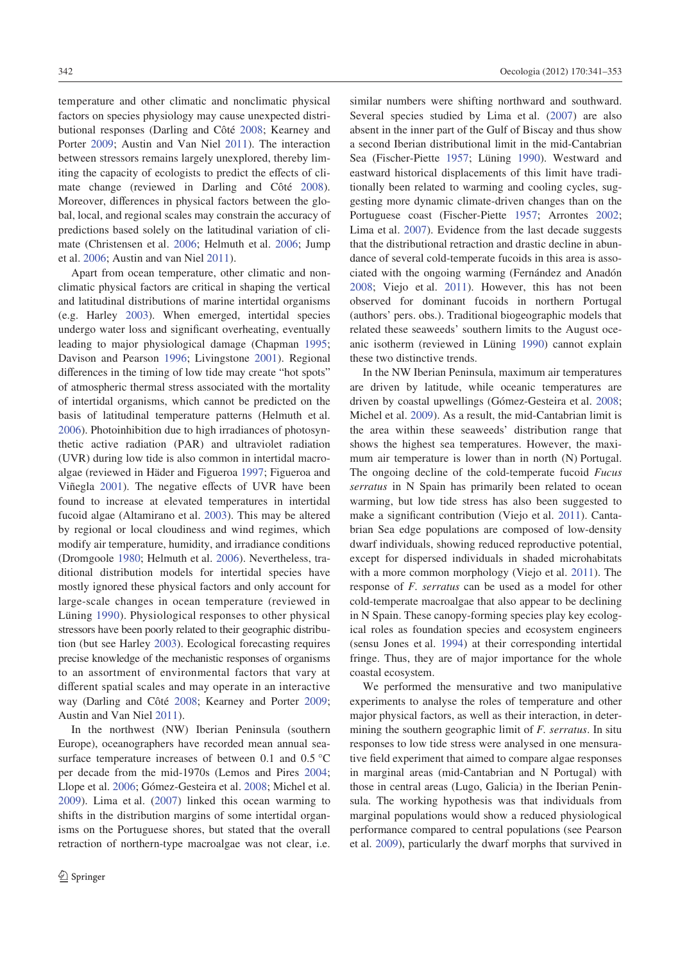temperature and other climatic and nonclimatic physical factors on species physiology may cause unexpected distributional responses (Darling and Côté 2008; Kearney and Porter 2009; Austin and Van Niel 2011). The interaction between stressors remains largely unexplored, thereby limiting the capacity of ecologists to predict the effects of climate change (reviewed in Darling and Côté 2008). Moreover, differences in physical factors between the global, local, and regional scales may constrain the accuracy of predictions based solely on the latitudinal variation of climate (Christensen et al. 2006; Helmuth et al. 2006; Jump et al. 2006; Austin and van Niel 2011).

Apart from ocean temperature, other climatic and nonclimatic physical factors are critical in shaping the vertical and latitudinal distributions of marine intertidal organisms (e.g. Harley 2003). When emerged, intertidal species undergo water loss and significant overheating, eventually leading to major physiological damage (Chapman 1995; Davison and Pearson 1996; Livingstone 2001). Regional differences in the timing of low tide may create "hot spots" of atmospheric thermal stress associated with the mortality of intertidal organisms, which cannot be predicted on the basis of latitudinal temperature patterns (Helmuth et al. 2006). Photoinhibition due to high irradiances of photosynthetic active radiation (PAR) and ultraviolet radiation (UVR) during low tide is also common in intertidal macroalgae (reviewed in Häder and Figueroa 1997; Figueroa and Viñegla 2001). The negative effects of UVR have been found to increase at elevated temperatures in intertidal fucoid algae (Altamirano et al. 2003). This may be altered by regional or local cloudiness and wind regimes, which modify air temperature, humidity, and irradiance conditions (Dromgoole 1980; Helmuth et al. 2006). Nevertheless, traditional distribution models for intertidal species have mostly ignored these physical factors and only account for large-scale changes in ocean temperature (reviewed in Lüning 1990). Physiological responses to other physical stressors have been poorly related to their geographic distribution (but see Harley 2003). Ecological forecasting requires precise knowledge of the mechanistic responses of organisms to an assortment of environmental factors that vary at different spatial scales and may operate in an interactive way (Darling and Côté 2008; Kearney and Porter 2009; Austin and Van Niel 2011).

In the northwest (NW) Iberian Peninsula (southern Europe), oceanographers have recorded mean annual seasurface temperature increases of between 0.1 and 0.5 °C per decade from the mid-1970s (Lemos and Pires 2004; Llope et al. 2006; Gómez-Gesteira et al. 2008; Michel et al. 2009). Lima et al. (2007) linked this ocean warming to shifts in the distribution margins of some intertidal organisms on the Portuguese shores, but stated that the overall retraction of northern-type macroalgae was not clear, i.e. similar numbers were shifting northward and southward. Several species studied by Lima et al. (2007) are also absent in the inner part of the Gulf of Biscay and thus show a second Iberian distributional limit in the mid-Cantabrian Sea (Fischer-Piette 1957; Lüning 1990). Westward and eastward historical displacements of this limit have traditionally been related to warming and cooling cycles, suggesting more dynamic climate-driven changes than on the Portuguese coast (Fischer-Piette 1957; Arrontes 2002; Lima et al. 2007). Evidence from the last decade suggests that the distributional retraction and drastic decline in abundance of several cold-temperate fucoids in this area is associated with the ongoing warming (Fernández and Anadón 2008; Viejo et al. 2011). However, this has not been observed for dominant fucoids in northern Portugal (authors' pers. obs.). Traditional biogeographic models that related these seaweeds' southern limits to the August oceanic isotherm (reviewed in Lüning 1990) cannot explain these two distinctive trends.

In the NW Iberian Peninsula, maximum air temperatures are driven by latitude, while oceanic temperatures are driven by coastal upwellings (Gómez-Gesteira et al. 2008; Michel et al. 2009). As a result, the mid-Cantabrian limit is the area within these seaweeds' distribution range that shows the highest sea temperatures. However, the maximum air temperature is lower than in north (N) Portugal. The ongoing decline of the cold-temperate fucoid *Fucus serratus* in N Spain has primarily been related to ocean warming, but low tide stress has also been suggested to make a significant contribution (Viejo et al. 2011). Cantabrian Sea edge populations are composed of low-density dwarf individuals, showing reduced reproductive potential, except for dispersed individuals in shaded microhabitats with a more common morphology (Viejo et al. 2011). The response of *F. serratus* can be used as a model for other cold-temperate macroalgae that also appear to be declining in N Spain. These canopy-forming species play key ecological roles as foundation species and ecosystem engineers (sensu Jones et al. 1994) at their corresponding intertidal fringe. Thus, they are of major importance for the whole coastal ecosystem.

We performed the mensurative and two manipulative experiments to analyse the roles of temperature and other major physical factors, as well as their interaction, in determining the southern geographic limit of *F. serratus*. In situ responses to low tide stress were analysed in one mensurative field experiment that aimed to compare algae responses in marginal areas (mid-Cantabrian and N Portugal) with those in central areas (Lugo, Galicia) in the Iberian Peninsula. The working hypothesis was that individuals from marginal populations would show a reduced physiological performance compared to central populations (see Pearson et al. 2009), particularly the dwarf morphs that survived in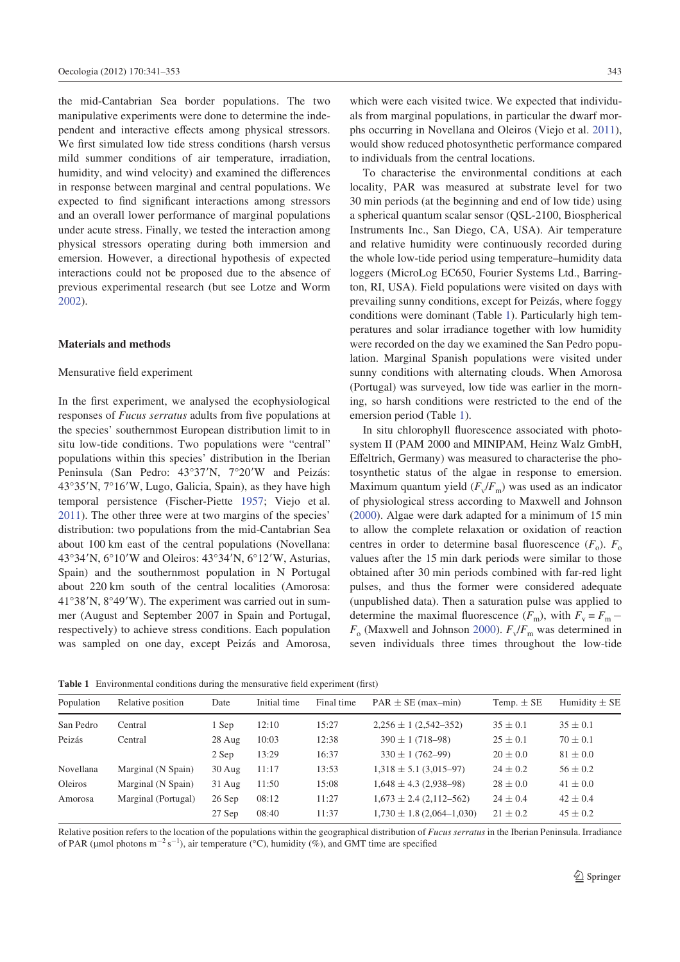the mid-Cantabrian Sea border populations. The two manipulative experiments were done to determine the independent and interactive effects among physical stressors. We first simulated low tide stress conditions (harsh versus mild summer conditions of air temperature, irradiation, humidity, and wind velocity) and examined the differences in response between marginal and central populations. We expected to find significant interactions among stressors and an overall lower performance of marginal populations under acute stress. Finally, we tested the interaction among physical stressors operating during both immersion and emersion. However, a directional hypothesis of expected interactions could not be proposed due to the absence of previous experimental research (but see Lotze and Worm 2002).

# **Materials and methods**

#### Mensurative field experiment

In the first experiment, we analysed the ecophysiological responses of *Fucus serratus* adults from five populations at the species' southernmost European distribution limit to in situ low-tide conditions. Two populations were "central" populations within this species' distribution in the Iberian Peninsula (San Pedro: 43°37'N, 7°20'W and Peizás:  $43^{\circ}35'$ N,  $7^{\circ}16'$ W, Lugo, Galicia, Spain), as they have high temporal persistence (Fischer-Piette 1957; Viejo et al. 2011). The other three were at two margins of the species' distribution: two populations from the mid-Cantabrian Sea about 100 km east of the central populations (Novellana: 43°34′N, 6°10′W and Oleiros:  $43^{\circ}34'N$ , 6°12′W, Asturias, Spain) and the southernmost population in N Portugal about 220 km south of the central localities (Amorosa:  $41^{\circ}38'$ N,  $8^{\circ}49'$ W). The experiment was carried out in summer (August and September 2007 in Spain and Portugal, respectively) to achieve stress conditions. Each population was sampled on one day, except Peizás and Amorosa,

which were each visited twice. We expected that individuals from marginal populations, in particular the dwarf morphs occurring in Novellana and Oleiros (Viejo et al. 2011), would show reduced photosynthetic performance compared to individuals from the central locations.

To characterise the environmental conditions at each locality, PAR was measured at substrate level for two 30 min periods (at the beginning and end of low tide) using a spherical quantum scalar sensor (QSL-2100, Biospherical Instruments Inc., San Diego, CA, USA). Air temperature and relative humidity were continuously recorded during the whole low-tide period using temperature–humidity data loggers (MicroLog EC650, Fourier Systems Ltd., Barrington, RI, USA). Field populations were visited on days with prevailing sunny conditions, except for Peizás, where foggy conditions were dominant (Table 1). Particularly high temperatures and solar irradiance together with low humidity were recorded on the day we examined the San Pedro population. Marginal Spanish populations were visited under sunny conditions with alternating clouds. When Amorosa (Portugal) was surveyed, low tide was earlier in the morning, so harsh conditions were restricted to the end of the emersion period (Table 1).

In situ chlorophyll fluorescence associated with photosystem II (PAM 2000 and MINIPAM, Heinz Walz GmbH, Effeltrich, Germany) was measured to characterise the photosynthetic status of the algae in response to emersion. Maximum quantum yield ( $F_v/F_m$ ) was used as an indicator of physiological stress according to Maxwell and Johnson (2000). Algae were dark adapted for a minimum of 15 min to allow the complete relaxation or oxidation of reaction centres in order to determine basal fluorescence  $(F_o)$ .  $F_o$ values after the 15 min dark periods were similar to those obtained after 30 min periods combined with far-red light pulses, and thus the former were considered adequate (unpublished data). Then a saturation pulse was applied to determine the maximal fluorescence  $(F_m)$ , with  $F_v = F_m$  –  $F_{\rm o}$  (Maxwell and Johnson 2000).  $F_{\rm v}/F_{\rm m}$  was determined in seven individuals three times throughout the low-tide

**Table 1** Environmental conditions during the mensurative field experiment (first)

| Population | Relative position   | Date     | Initial time | Final time | $PAR \pm SE$ (max-min)        | Temp. $\pm$ SE | Humidity $\pm$ SE |
|------------|---------------------|----------|--------------|------------|-------------------------------|----------------|-------------------|
| San Pedro  | Central             | 1 Sep    | 12:10        | 15:27      | $2,256 \pm 1$ (2,542-352)     | $35 \pm 0.1$   | $35 \pm 0.1$      |
| Peizás     | Central             | 28 Aug   | 10:03        | 12:38      | $390 \pm 1 (718 - 98)$        | $25 \pm 0.1$   | $70 \pm 0.1$      |
|            |                     | 2 Sep    | 13:29        | 16:37      | $330 \pm 1 (762 - 99)$        | $20 \pm 0.0$   | $81 \pm 0.0$      |
| Novellana  | Marginal (N Spain)  | $30$ Aug | 11:17        | 13:53      | $1,318 \pm 5.1 (3,015-97)$    | $24 \pm 0.2$   | $56 \pm 0.2$      |
| Oleiros    | Marginal (N Spain)  | $31$ Aug | 11:50        | 15:08      | $1,648 \pm 4.3$ (2,938–98)    | $28 \pm 0.0$   | $41 \pm 0.0$      |
| Amorosa    | Marginal (Portugal) | 26 Sep   | 08:12        | 11:27      | $1,673 \pm 2.4$ (2,112-562)   | $24 \pm 0.4$   | $42 \pm 0.4$      |
|            |                     | 27 Sep   | 08:40        | 11:37      | $1,730 \pm 1.8$ (2,064-1,030) | $21 \pm 0.2$   | $45 \pm 0.2$      |

Relative position refers to the location of the populations within the geographical distribution of *Fucus serratus* in the Iberian Peninsula. Irradiance of PAR (µmol photons m<sup>-2</sup> s<sup>-1</sup>), air temperature (°C), humidity (%), and GMT time are specified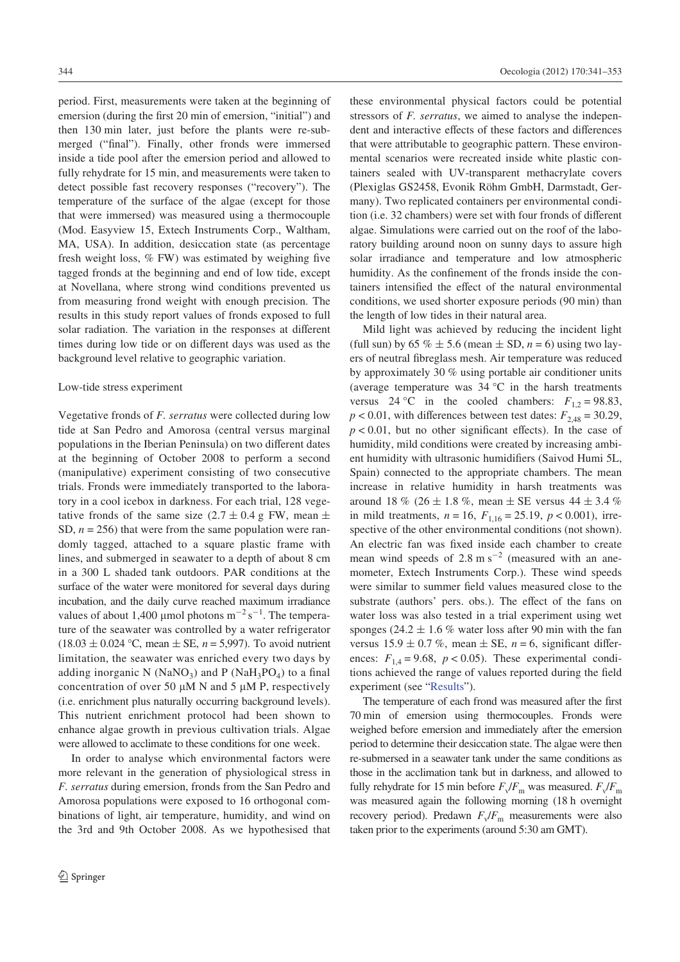period. First, measurements were taken at the beginning of emersion (during the first 20 min of emersion, "initial") and then 130 min later, just before the plants were re-submerged ("final"). Finally, other fronds were immersed inside a tide pool after the emersion period and allowed to fully rehydrate for 15 min, and measurements were taken to detect possible fast recovery responses ("recovery"). The temperature of the surface of the algae (except for those that were immersed) was measured using a thermocouple (Mod. Easyview 15, Extech Instruments Corp., Waltham, MA, USA). In addition, desiccation state (as percentage fresh weight loss,  $\%$  FW) was estimated by weighing five tagged fronds at the beginning and end of low tide, except at Novellana, where strong wind conditions prevented us from measuring frond weight with enough precision. The results in this study report values of fronds exposed to full solar radiation. The variation in the responses at different times during low tide or on different days was used as the background level relative to geographic variation.

## Low-tide stress experiment

Vegetative fronds of *F. serratus* were collected during low tide at San Pedro and Amorosa (central versus marginal populations in the Iberian Peninsula) on two different dates at the beginning of October 2008 to perform a second (manipulative) experiment consisting of two consecutive trials. Fronds were immediately transported to the laboratory in a cool icebox in darkness. For each trial, 128 vegetative fronds of the same size  $(2.7 \pm 0.4 \text{ g FW})$ , mean  $\pm$ SD,  $n = 256$ ) that were from the same population were randomly tagged, attached to a square plastic frame with lines, and submerged in seawater to a depth of about 8 cm in a 300 L shaded tank outdoors. PAR conditions at the surface of the water were monitored for several days during incubation, and the daily curve reached maximum irradiance values of about 1,400 µmol photons  $m^{-2} s^{-1}$ . The temperature of the seawater was controlled by a water refrigerator  $(18.03 \pm 0.024 \degree C, \text{mean} \pm \text{SE}, n = 5,997)$ . To avoid nutrient limitation, the seawater was enriched every two days by adding inorganic N ( $\text{NaNO}_3$ ) and P ( $\text{NaH}_3\text{PO}_4$ ) to a final concentration of over 50  $\mu$ M N and 5  $\mu$ M P, respectively (i.e. enrichment plus naturally occurring background levels). This nutrient enrichment protocol had been shown to enhance algae growth in previous cultivation trials. Algae were allowed to acclimate to these conditions for one week.

In order to analyse which environmental factors were more relevant in the generation of physiological stress in *F. serratus* during emersion, fronds from the San Pedro and Amorosa populations were exposed to 16 orthogonal combinations of light, air temperature, humidity, and wind on the 3rd and 9th October 2008. As we hypothesised that

these environmental physical factors could be potential stressors of *F. serratus*, we aimed to analyse the independent and interactive effects of these factors and differences that were attributable to geographic pattern. These environmental scenarios were recreated inside white plastic containers sealed with UV-transparent methacrylate covers (Plexiglas GS2458, Evonik Röhm GmbH, Darmstadt, Germany). Two replicated containers per environmental condition (i.e. 32 chambers) were set with four fronds of different algae. Simulations were carried out on the roof of the laboratory building around noon on sunny days to assure high solar irradiance and temperature and low atmospheric humidity. As the confinement of the fronds inside the containers intensified the effect of the natural environmental conditions, we used shorter exposure periods (90 min) than the length of low tides in their natural area.

Mild light was achieved by reducing the incident light (full sun) by 65  $\% \pm 5.6$  (mean  $\pm$  SD,  $n = 6$ ) using two layers of neutral fibreglass mesh. Air temperature was reduced by approximately 30 % using portable air conditioner units (average temperature was 34 °C in the harsh treatments versus 24 °C in the cooled chambers:  $F_{1,2} = 98.83$ ,  $p < 0.01$ , with differences between test dates:  $F_{2,48} = 30.29$ ,  $p < 0.01$ , but no other significant effects). In the case of humidity, mild conditions were created by increasing ambient humidity with ultrasonic humidifiers (Saivod Humi 5L, Spain) connected to the appropriate chambers. The mean increase in relative humidity in harsh treatments was around 18 % (26  $\pm$  1.8 %, mean  $\pm$  SE versus 44  $\pm$  3.4 % in mild treatments,  $n = 16$ ,  $F_{1,16} = 25.19$ ,  $p < 0.001$ ), irrespective of the other environmental conditions (not shown). An electric fan was fixed inside each chamber to create mean wind speeds of  $2.8 \text{ m s}^{-2}$  (measured with an anemometer, Extech Instruments Corp.). These wind speeds were similar to summer field values measured close to the substrate (authors' pers. obs.). The effect of the fans on water loss was also tested in a trial experiment using wet sponges (24.2  $\pm$  1.6 % water loss after 90 min with the fan versus  $15.9 \pm 0.7$  %, mean  $\pm$  SE,  $n = 6$ , significant differences:  $F_{1,4} = 9.68$ ,  $p < 0.05$ ). These experimental conditions achieved the range of values reported during the field experiment (see "Results").

The temperature of each frond was measured after the first 70 min of emersion using thermocouples. Fronds were weighed before emersion and immediately after the emersion period to determine their desiccation state. The algae were then re-submersed in a seawater tank under the same conditions as those in the acclimation tank but in darkness, and allowed to fully rehydrate for 15 min before  $F_v/F_m$  was measured.  $F_v/F_m$ was measured again the following morning (18 h overnight recovery period). Predawn  $F_v/F_m$  measurements were also taken prior to the experiments (around 5:30 am GMT).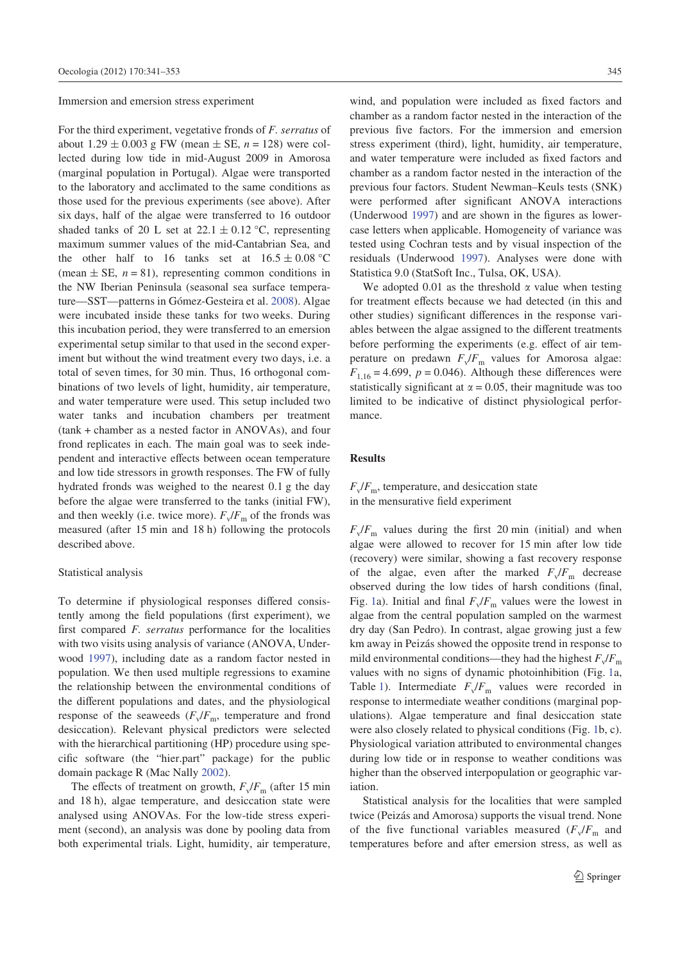Immersion and emersion stress experiment

For the third experiment, vegetative fronds of *F. serratus* of about  $1.29 \pm 0.003$  g FW (mean  $\pm$  SE,  $n = 128$ ) were collected during low tide in mid-August 2009 in Amorosa (marginal population in Portugal). Algae were transported to the laboratory and acclimated to the same conditions as those used for the previous experiments (see above). After six days, half of the algae were transferred to 16 outdoor shaded tanks of 20 L set at  $22.1 \pm 0.12$  °C, representing maximum summer values of the mid-Cantabrian Sea, and the other half to 16 tanks set at  $16.5 \pm 0.08$  °C (mean  $\pm$  SE,  $n = 81$ ), representing common conditions in the NW Iberian Peninsula (seasonal sea surface temperature—SST—patterns in Gómez-Gesteira et al. 2008). Algae were incubated inside these tanks for two weeks. During this incubation period, they were transferred to an emersion experimental setup similar to that used in the second experiment but without the wind treatment every two days, i.e. a total of seven times, for 30 min. Thus, 16 orthogonal combinations of two levels of light, humidity, air temperature, and water temperature were used. This setup included two water tanks and incubation chambers per treatment (tank + chamber as a nested factor in ANOVAs), and four frond replicates in each. The main goal was to seek independent and interactive effects between ocean temperature and low tide stressors in growth responses. The FW of fully hydrated fronds was weighed to the nearest 0.1 g the day before the algae were transferred to the tanks (initial FW), and then weekly (i.e. twice more).  $F_v/F_m$  of the fronds was measured (after 15 min and 18 h) following the protocols described above.

#### Statistical analysis

To determine if physiological responses differed consistently among the field populations (first experiment), we first compared *F. serratus* performance for the localities with two visits using analysis of variance (ANOVA, Underwood 1997), including date as a random factor nested in population. We then used multiple regressions to examine the relationship between the environmental conditions of the different populations and dates, and the physiological response of the seaweeds  $(F_v/F_m)$ , temperature and frond desiccation). Relevant physical predictors were selected with the hierarchical partitioning (HP) procedure using specific software (the "hier.part" package) for the public domain package R (Mac Nally 2002).

The effects of treatment on growth,  $F_v/F_m$  (after 15 min and 18 h), algae temperature, and desiccation state were analysed using ANOVAs. For the low-tide stress experiment (second), an analysis was done by pooling data from both experimental trials. Light, humidity, air temperature,

wind, and population were included as fixed factors and chamber as a random factor nested in the interaction of the previous five factors. For the immersion and emersion stress experiment (third), light, humidity, air temperature, and water temperature were included as fixed factors and chamber as a random factor nested in the interaction of the previous four factors. Student Newman–Keuls tests (SNK) were performed after significant ANOVA interactions (Underwood  $1997$ ) and are shown in the figures as lowercase letters when applicable. Homogeneity of variance was tested using Cochran tests and by visual inspection of the residuals (Underwood 1997). Analyses were done with Statistica 9.0 (StatSoft Inc., Tulsa, OK, USA).

We adopted 0.01 as the threshold  $\alpha$  value when testing for treatment effects because we had detected (in this and other studies) significant differences in the response variables between the algae assigned to the different treatments before performing the experiments (e.g. effect of air temperature on predawn  $F_v/F_m$  values for Amorosa algae:  $F_{1,16} = 4.699$ ,  $p = 0.046$ ). Although these differences were statistically significant at  $\alpha = 0.05$ , their magnitude was too limited to be indicative of distinct physiological performance.

## **Results**

 $F_v/F_m$ , temperature, and desiccation state in the mensurative field experiment

 $F_v/F_m$  values during the first 20 min (initial) and when algae were allowed to recover for 15 min after low tide (recovery) were similar, showing a fast recovery response of the algae, even after the marked  $F_v/F_m$  decrease observed during the low tides of harsh conditions (final, Fig. 1a). Initial and final  $F_v/F_m$  values were the lowest in algae from the central population sampled on the warmest dry day (San Pedro). In contrast, algae growing just a few km away in Peizás showed the opposite trend in response to mild environmental conditions—they had the highest  $F_v/F_m$ values with no signs of dynamic photoinhibition (Fig. 1a, Table 1). Intermediate  $F_v/F_m$  values were recorded in response to intermediate weather conditions (marginal populations). Algae temperature and final desiccation state were also closely related to physical conditions (Fig. 1b, c). Physiological variation attributed to environmental changes during low tide or in response to weather conditions was higher than the observed interpopulation or geographic variation.

Statistical analysis for the localities that were sampled twice (Peizás and Amorosa) supports the visual trend. None of the five functional variables measured  $(F_v/F_m$  and temperatures before and after emersion stress, as well as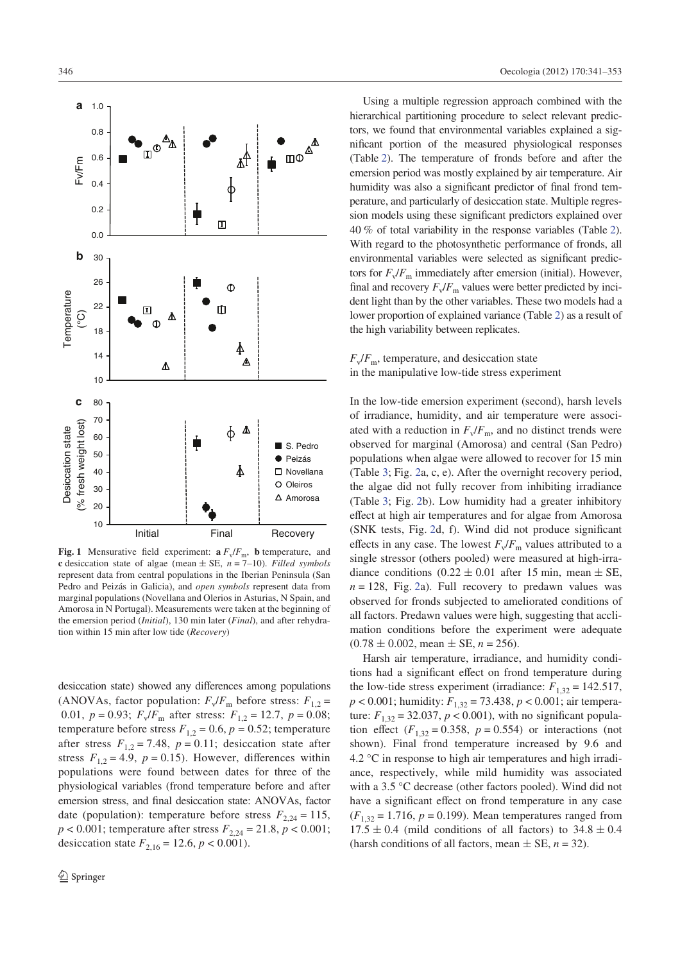

**Fig. 1** Mensurative field experiment:  $\mathbf{a} F_v / F_m$ , **b** temperature, and **c** desiccation state of algae (mean  $\pm$  SE,  $n = 7$ –10). *Filled symbols* represent data from central populations in the Iberian Peninsula (San Pedro and Peizás in Galicia), and *open symbols* represent data from marginal populations (Novellana and Olerios in Asturias, N Spain, and Amorosa in N Portugal). Measurements were taken at the beginning of the emersion period (*Initial*), 130 min later (*Final*), and after rehydration within 15 min after low tide (*Recovery*)

desiccation state) showed any differences among populations (ANOVAs, factor population:  $F_v/F_m$  before stress:  $F_{1,2}$  = 0.01,  $p = 0.93$ ;  $F_v/F_m$  after stress:  $F_{1,2} = 12.7$ ,  $p = 0.08$ ; temperature before stress  $F_{1,2} = 0.6$ ,  $p = 0.52$ ; temperature after stress  $F_{1,2} = 7.48$ ,  $p = 0.11$ ; desiccation state after stress  $F_{12} = 4.9$ ,  $p = 0.15$ ). However, differences within populations were found between dates for three of the physiological variables (frond temperature before and after emersion stress, and final desiccation state: ANOVAs, factor date (population): temperature before stress  $F_{2,24} = 115$ ,  $p < 0.001$ ; temperature after stress  $F_{2,24} = 21.8$ ,  $p < 0.001$ ; desiccation state  $F_{2,16} = 12.6$ ,  $p < 0.001$ ).

Using a multiple regression approach combined with the hierarchical partitioning procedure to select relevant predictors, we found that environmental variables explained a significant portion of the measured physiological responses (Table 2). The temperature of fronds before and after the emersion period was mostly explained by air temperature. Air humidity was also a significant predictor of final frond temperature, and particularly of desiccation state. Multiple regression models using these significant predictors explained over 40 % of total variability in the response variables (Table 2). With regard to the photosynthetic performance of fronds, all environmental variables were selected as significant predictors for  $F_{\nu}/F_{\rm m}$  immediately after emersion (initial). However, final and recovery  $F_v/F_m$  values were better predicted by incident light than by the other variables. These two models had a lower proportion of explained variance (Table 2) as a result of the high variability between replicates.

# $F_v/F_m$ , temperature, and desiccation state in the manipulative low-tide stress experiment

In the low-tide emersion experiment (second), harsh levels of irradiance, humidity, and air temperature were associated with a reduction in  $F_v/F_m$ , and no distinct trends were observed for marginal (Amorosa) and central (San Pedro) populations when algae were allowed to recover for 15 min (Table 3; Fig. 2a, c, e). After the overnight recovery period, the algae did not fully recover from inhibiting irradiance (Table 3; Fig. 2b). Low humidity had a greater inhibitory effect at high air temperatures and for algae from Amorosa (SNK tests, Fig. 2d, f). Wind did not produce significant effects in any case. The lowest  $F_v/F_m$  values attributed to a single stressor (others pooled) were measured at high-irradiance conditions  $(0.22 \pm 0.01)$  after 15 min, mean  $\pm$  SE,  $n = 128$ . Fig. 2a). Full recovery to predawn values was observed for fronds subjected to ameliorated conditions of all factors. Predawn values were high, suggesting that acclimation conditions before the experiment were adequate  $(0.78 \pm 0.002, \text{mean} \pm \text{SE}, n = 256).$ 

Harsh air temperature, irradiance, and humidity conditions had a significant effect on frond temperature during the low-tide stress experiment (irradiance:  $F_{1,32} = 142.517$ , *p* < 0.001; humidity: *F*1,32 = 73.438, *p* < 0.001; air temperature:  $F_{1,32} = 32.037, p < 0.001$ , with no significant population effect  $(F_{1,32} = 0.358, p = 0.554)$  or interactions (not shown). Final frond temperature increased by 9.6 and 4.2 °C in response to high air temperatures and high irradiance, respectively, while mild humidity was associated with a 3.5 °C decrease (other factors pooled). Wind did not have a significant effect on frond temperature in any case  $(F_{1,32} = 1.716, p = 0.199)$ . Mean temperatures ranged from  $17.5 \pm 0.4$  (mild conditions of all factors) to  $34.8 \pm 0.4$ (harsh conditions of all factors, mean  $\pm$  SE,  $n = 32$ ).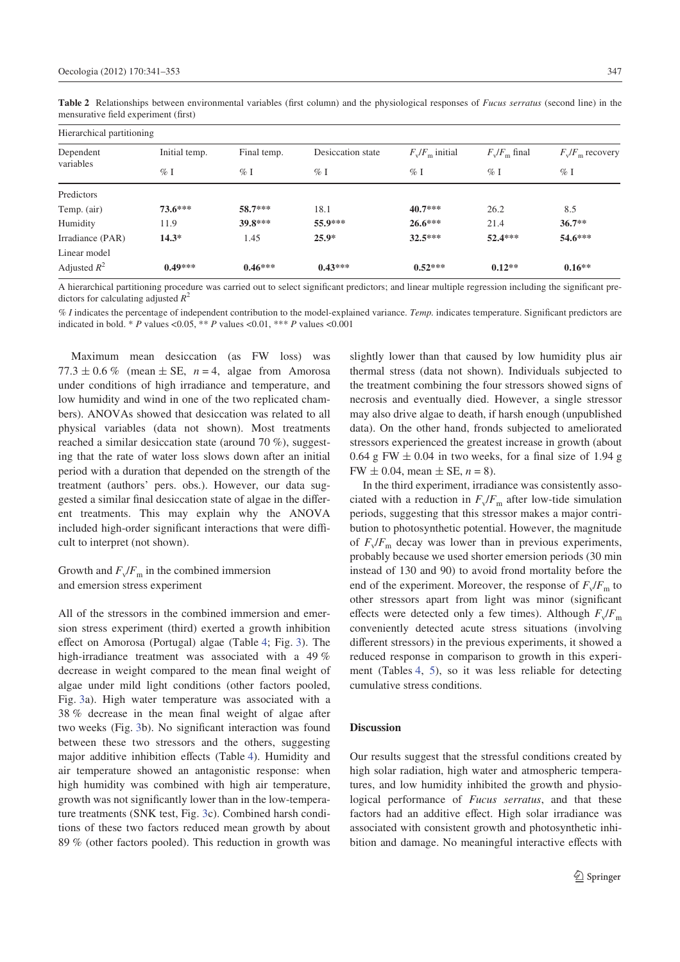Linear model Adjusted *R* 2

| Hierarchical partitioning |                              |           |                   |                   |                 |                    |  |  |  |  |
|---------------------------|------------------------------|-----------|-------------------|-------------------|-----------------|--------------------|--|--|--|--|
| Dependent                 | Initial temp.<br>Final temp. |           | Desiccation state | $F_v/F_m$ initial | $F_v/F_m$ final | $F_v/F_m$ recovery |  |  |  |  |
| variables                 | $\%$ I                       | $\%$ I    | $\%$ I            | $\%$ I            | $\%$ I          | $\%$ I             |  |  |  |  |
| Predictors                |                              |           |                   |                   |                 |                    |  |  |  |  |
| Temp. (air)               | $73.6***$                    | $58.7***$ | 18.1              | $40.7***$         | 26.2            | 8.5                |  |  |  |  |
| Humidity                  | 11.9                         | 39.8***   | 55.9***           | $26.6***$         | 21.4            | $36.7**$           |  |  |  |  |
| Irradiance (PAR)          | $14.3*$                      | 1.45      | $25.9*$           | $32.5***$         | $52.4***$       | $54.6***$          |  |  |  |  |

Table 2 Relationships between environmental variables (first column) and the physiological responses of *Fucus serratus* (second line) in the mensurative field experiment (first)

A hierarchical partitioning procedure was carried out to select significant predictors; and linear multiple regression including the significant predictors for calculating adjusted *R* 2

**0.49\*\*\* 0.46\*\*\* 0.43\*\*\* 0.52\*\*\* 0.12\*\* 0.16\*\***

% *I* indicates the percentage of independent contribution to the model-explained variance. Temp. indicates temperature. Significant predictors are indicated in bold. \* *P* values <0.05, \*\* *P* values <0.01, \*\*\* *P* values <0.001

Maximum mean desiccation (as FW loss) was  $77.3 \pm 0.6$  % (mean  $\pm$  SE,  $n = 4$ , algae from Amorosa under conditions of high irradiance and temperature, and low humidity and wind in one of the two replicated chambers). ANOVAs showed that desiccation was related to all physical variables (data not shown). Most treatments reached a similar desiccation state (around 70 %), suggesting that the rate of water loss slows down after an initial period with a duration that depended on the strength of the treatment (authors' pers. obs.). However, our data suggested a similar final desiccation state of algae in the different treatments. This may explain why the ANOVA included high-order significant interactions that were difficult to interpret (not shown).

# Growth and  $F_v/F_m$  in the combined immersion and emersion stress experiment

All of the stressors in the combined immersion and emersion stress experiment (third) exerted a growth inhibition effect on Amorosa (Portugal) algae (Table 4; Fig. 3). The high-irradiance treatment was associated with a 49 % decrease in weight compared to the mean final weight of algae under mild light conditions (other factors pooled, Fig. 3a). High water temperature was associated with a 38 % decrease in the mean final weight of algae after two weeks (Fig. 3b). No significant interaction was found between these two stressors and the others, suggesting major additive inhibition effects (Table 4). Humidity and air temperature showed an antagonistic response: when high humidity was combined with high air temperature, growth was not significantly lower than in the low-temperature treatments (SNK test, Fig. 3c). Combined harsh conditions of these two factors reduced mean growth by about 89 % (other factors pooled). This reduction in growth was

slightly lower than that caused by low humidity plus air thermal stress (data not shown). Individuals subjected to the treatment combining the four stressors showed signs of necrosis and eventually died. However, a single stressor may also drive algae to death, if harsh enough (unpublished data). On the other hand, fronds subjected to ameliorated stressors experienced the greatest increase in growth (about  $0.64$  g FW  $\pm$  0.04 in two weeks, for a final size of 1.94 g  $FW \pm 0.04$ , mean  $\pm$  SE,  $n = 8$ ).

In the third experiment, irradiance was consistently associated with a reduction in  $F_v/F_m$  after low-tide simulation periods, suggesting that this stressor makes a major contribution to photosynthetic potential. However, the magnitude of  $F_v/F_m$  decay was lower than in previous experiments, probably because we used shorter emersion periods (30 min instead of 130 and 90) to avoid frond mortality before the end of the experiment. Moreover, the response of  $F_v/F_m$  to other stressors apart from light was minor (significant effects were detected only a few times). Although  $F_v/F_m$ conveniently detected acute stress situations (involving different stressors) in the previous experiments, it showed a reduced response in comparison to growth in this experiment (Tables 4, 5), so it was less reliable for detecting cumulative stress conditions.

#### **Discussion**

Our results suggest that the stressful conditions created by high solar radiation, high water and atmospheric temperatures, and low humidity inhibited the growth and physiological performance of *Fucus serratus*, and that these factors had an additive effect. High solar irradiance was associated with consistent growth and photosynthetic inhibition and damage. No meaningful interactive effects with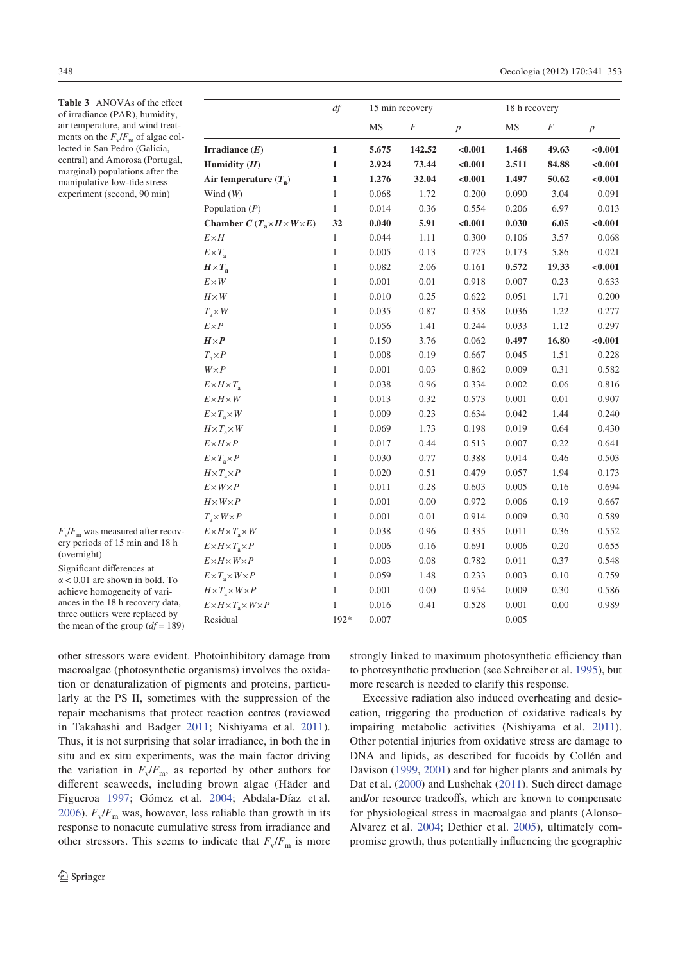Table 3 ANOVAs of the effect of irradiance (PAR), humidity, air temperature, and wind treatments on the  $F_v/F_m$  of algae collected in San Pedro (Galicia, central) and Amorosa (Portugal, marginal) populations after the manipulative low-tide stress experiment (second, 90 min)

|                                             | df           |           | 15 min recovery  |                | 18 h recovery |          |                  |  |
|---------------------------------------------|--------------|-----------|------------------|----------------|---------------|----------|------------------|--|
|                                             |              | $\rm{MS}$ | $\boldsymbol{F}$ | $\overline{p}$ | MS            | $\cal F$ | $\boldsymbol{p}$ |  |
| Irradiance $(E)$                            | $\mathbf{1}$ | 5.675     | 142.52           | < 0.001        | 1.468         | 49.63    | < 0.001          |  |
| Humidity $(H)$                              | $\mathbf{1}$ | 2.924     | 73.44            | < 0.001        | 2.511         | 84.88    | < 0.001          |  |
| Air temperature $(T_a)$                     | $\mathbf{1}$ | 1.276     | 32.04            | < 0.001        | 1.497         | 50.62    | < 0.001          |  |
| Wind $(W)$                                  | $\mathbf{1}$ | 0.068     | 1.72             | 0.200          | 0.090         | 3.04     | 0.091            |  |
| Population $(P)$                            | $\,1$        | 0.014     | 0.36             | 0.554          | 0.206         | 6.97     | 0.013            |  |
| Chamber $C(T_a \times H \times W \times E)$ | 32           | 0.040     | 5.91             | < 0.001        | 0.030         | 6.05     | < 0.001          |  |
| $E\times H$                                 | $\mathbf{1}$ | 0.044     | 1.11             | 0.300          | 0.106         | 3.57     | 0.068            |  |
| $E \times T_a$                              | $\mathbf{1}$ | 0.005     | 0.13             | 0.723          | 0.173         | 5.86     | 0.021            |  |
| $H \times T_{\rm a}$                        | $\mathbf{1}$ | 0.082     | 2.06             | 0.161          | 0.572         | 19.33    | < 0.001          |  |
| $E \times W$                                | $\mathbf{1}$ | 0.001     | 0.01             | 0.918          | 0.007         | 0.23     | 0.633            |  |
| $H \times W$                                | $\mathbf{1}$ | 0.010     | 0.25             | 0.622          | 0.051         | 1.71     | 0.200            |  |
| $T_{\rm a} \times W$                        | $\mathbf{1}$ | 0.035     | 0.87             | 0.358          | 0.036         | 1.22     | 0.277            |  |
| $E \times P$                                | $\mathbf{1}$ | 0.056     | 1.41             | 0.244          | 0.033         | 1.12     | 0.297            |  |
| $H \times P$                                | $\mathbf{1}$ | 0.150     | 3.76             | 0.062          | 0.497         | 16.80    | < 0.001          |  |
| $T_{\rm a} \times P$                        | $\mathbf{1}$ | 0.008     | 0.19             | 0.667          | 0.045         | 1.51     | 0.228            |  |
| $W \times P$                                | $\mathbf{1}$ | 0.001     | 0.03             | 0.862          | 0.009         | 0.31     | 0.582            |  |
| $E \times H \times T_{\rm a}$               | $\mathbf{1}$ | 0.038     | 0.96             | 0.334          | 0.002         | 0.06     | 0.816            |  |
| $E\times H\times W$                         | $\mathbf{1}$ | 0.013     | 0.32             | 0.573          | 0.001         | 0.01     | 0.907            |  |
| $E \times T_a \times W$                     | $\mathbf{1}$ | 0.009     | 0.23             | 0.634          | 0.042         | 1.44     | 0.240            |  |
| $H \times T_a \times W$                     | $\mathbf{1}$ | 0.069     | 1.73             | 0.198          | 0.019         | 0.64     | 0.430            |  |
| $E \times H \times P$                       | $\mathbf{1}$ | 0.017     | 0.44             | 0.513          | 0.007         | 0.22     | 0.641            |  |
| $E \times T_a \times P$                     | $\mathbf{1}$ | 0.030     | 0.77             | 0.388          | 0.014         | 0.46     | 0.503            |  |
| $H \times T_a \times P$                     | $\mathbf{1}$ | 0.020     | 0.51             | 0.479          | 0.057         | 1.94     | 0.173            |  |
| $E \times W \times P$                       | $\mathbf{1}$ | 0.011     | 0.28             | 0.603          | 0.005         | 0.16     | 0.694            |  |
| $H \times W \times P$                       | $\mathbf{1}$ | 0.001     | 0.00             | 0.972          | 0.006         | 0.19     | 0.667            |  |
| $T_{\rm a} \times W \times P$               | $\mathbf{1}$ | 0.001     | 0.01             | 0.914          | 0.009         | 0.30     | 0.589            |  |
| $E \times H \times T_a \times W$            | $\mathbf{1}$ | 0.038     | 0.96             | 0.335          | 0.011         | 0.36     | 0.552            |  |
| $E \times H \times T_a \times P$            | $\mathbf{1}$ | 0.006     | 0.16             | 0.691          | 0.006         | 0.20     | 0.655            |  |
| $E \times H \times W \times P$              | $\mathbf{1}$ | 0.003     | 0.08             | 0.782          | 0.011         | 0.37     | 0.548            |  |
| $E \times T_a \times W \times P$            | $\mathbf{1}$ | 0.059     | 1.48             | 0.233          | 0.003         | 0.10     | 0.759            |  |
| $H \times T_a \times W \times P$            | $\mathbf{1}$ | 0.001     | 0.00             | 0.954          | 0.009         | 0.30     | 0.586            |  |
| $E \times H \times T_a \times W \times P$   | $\mathbf{1}$ | 0.016     | 0.41             | 0.528          | 0.001         | 0.00     | 0.989            |  |
| Residual                                    | 192*         | 0.007     |                  |                | 0.005         |          |                  |  |

 $F_v/F_{\text{m}}$  was measured after recovery periods of 15 min and 18 h (overnight)

Significant differences at  $\alpha$  < 0.01 are shown in bold. To achieve homogeneity of variances in the 18 h recovery data, three outliers were replaced by the mean of the group  $(df = 189)$ 

other stressors were evident. Photoinhibitory damage from macroalgae (photosynthetic organisms) involves the oxidation or denaturalization of pigments and proteins, particularly at the PS II, sometimes with the suppression of the repair mechanisms that protect reaction centres (reviewed in Takahashi and Badger 2011; Nishiyama et al. 2011). Thus, it is not surprising that solar irradiance, in both the in situ and ex situ experiments, was the main factor driving the variation in  $F_v/F_m$ , as reported by other authors for different seaweeds, including brown algae (Häder and Figueroa 1997; Gómez et al. 2004; Abdala-Díaz et al. 2006).  $F_v/F_m$  was, however, less reliable than growth in its response to nonacute cumulative stress from irradiance and other stressors. This seems to indicate that  $F_v/F_m$  is more

strongly linked to maximum photosynthetic efficiency than to photosynthetic production (see Schreiber et al. 1995), but more research is needed to clarify this response.

Excessive radiation also induced overheating and desiccation, triggering the production of oxidative radicals by impairing metabolic activities (Nishiyama et al. 2011). Other potential injuries from oxidative stress are damage to DNA and lipids, as described for fucoids by Collén and Davison (1999, 2001) and for higher plants and animals by Dat et al. (2000) and Lushchak (2011). Such direct damage and/or resource tradeoffs, which are known to compensate for physiological stress in macroalgae and plants (Alonso-Alvarez et al. 2004; Dethier et al. 2005), ultimately compromise growth, thus potentially influencing the geographic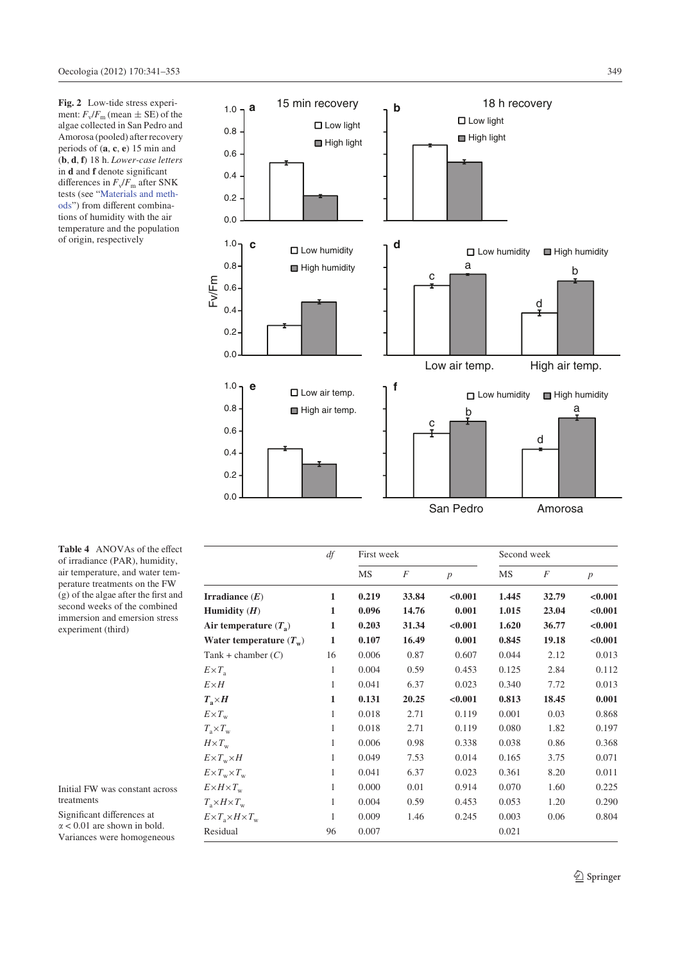**Fig. 2** Low-tide stress experiment:  $F_v/F_m$  (mean  $\pm$  SE) of the algae collected in San Pedro and Amorosa (pooled) after recovery periods of (**a**, **c**, **e**) 15 min and (**b**, **d**, **f**) 18 h. *Lower-case letters* in **d** and **f** denote significant differences in  $F_v/F_m$  after SNK tests (see "Materials and methods") from different combinations of humidity with the air temperature and the population of origin, respectively



| Table 4 ANOVAs of the effect           |
|----------------------------------------|
| of irradiance (PAR), humidity,         |
| air temperature, and water tem-        |
| perature treatments on the FW          |
| $(g)$ of the algae after the first and |
| second weeks of the combined           |
| immersion and emersion stress          |
| experiment (third)                     |
|                                        |

Initial FW was constant across treatments

Significant differences at  $\alpha$  < 0.01 are shown in bold. Variances were homogeneous

|                                       | df | First week |       |         | Second week |                |         |
|---------------------------------------|----|------------|-------|---------|-------------|----------------|---------|
|                                       |    | MS         | F     | p       | MS          | $\overline{F}$ | p       |
| Irradiance $(E)$                      | 1  | 0.219      | 33.84 | < 0.001 | 1.445       | 32.79          | < 0.001 |
| Humidity $(H)$                        | 1  | 0.096      | 14.76 | 0.001   | 1.015       | 23.04          | < 0.001 |
| Air temperature $(T_a)$               | 1  | 0.203      | 31.34 | < 0.001 | 1.620       | 36.77          | < 0.001 |
| Water temperature $(T_w)$             | 1  | 0.107      | 16.49 | 0.001   | 0.845       | 19.18          | < 0.001 |
| Tank + chamber $(C)$                  | 16 | 0.006      | 0.87  | 0.607   | 0.044       | 2.12           | 0.013   |
| $E \times T_a$                        | 1  | 0.004      | 0.59  | 0.453   | 0.125       | 2.84           | 0.112   |
| $E\times H$                           | 1  | 0.041      | 6.37  | 0.023   | 0.340       | 7.72           | 0.013   |
| $T_{\rm a} \times H$                  | 1  | 0.131      | 20.25 | < 0.001 | 0.813       | 18.45          | 0.001   |
| $E \times T_{\rm w}$                  | 1  | 0.018      | 2.71  | 0.119   | 0.001       | 0.03           | 0.868   |
| $T_{\rm a} \times T_{\rm w}$          | 1  | 0.018      | 2.71  | 0.119   | 0.080       | 1.82           | 0.197   |
| $H \times T_{w}$                      | 1  | 0.006      | 0.98  | 0.338   | 0.038       | 0.86           | 0.368   |
| $E \times T_w \times H$               | 1  | 0.049      | 7.53  | 0.014   | 0.165       | 3.75           | 0.071   |
| $E \times T_w \times T_w$             | 1  | 0.041      | 6.37  | 0.023   | 0.361       | 8.20           | 0.011   |
| $E \times H \times T_{w}$             | 1  | 0.000      | 0.01  | 0.914   | 0.070       | 1.60           | 0.225   |
| $T_{\rm a} \times H \times T_{\rm w}$ | 1  | 0.004      | 0.59  | 0.453   | 0.053       | 1.20           | 0.290   |
| $E \times T_a \times H \times T_w$    | 1  | 0.009      | 1.46  | 0.245   | 0.003       | 0.06           | 0.804   |
| Residual                              | 96 | 0.007      |       |         | 0.021       |                |         |

 $\hat{Z}$  Springer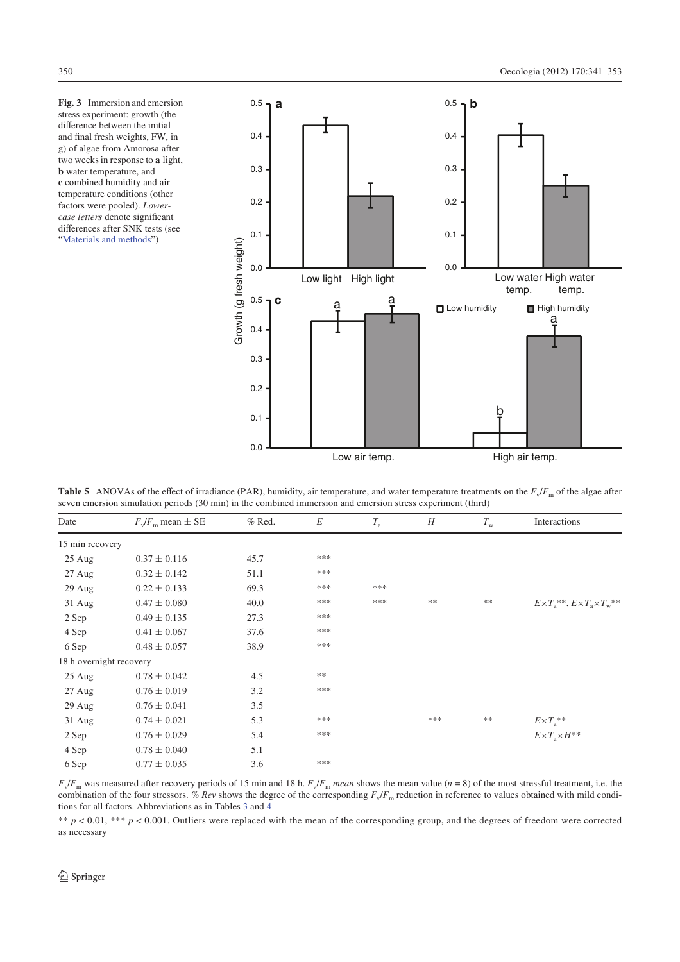**Fig. 3** Immersion and emersion stress experiment: growth (the difference between the initial and final fresh weights, FW, in g) of algae from Amorosa after two weeks in response to **a** light, **b** water temperature, and **c** combined humidity and air temperature conditions (other factors were pooled). *Lowercase letters* denote significant differences after SNK tests (see "Materials and methods")



**Table 5** ANOVAs of the effect of irradiance (PAR), humidity, air temperature, and water temperature treatments on the  $F_v/F_m$  of the algae after seven emersion simulation periods (30 min) in the combined immersion and emersion stress experiment (third)

| Date                    | $F_v/F_m$ mean $\pm$ SE | $%$ Red. | E    | $T_{\rm a}$ | H    | $T_{\rm w}$ | Interactions                                    |
|-------------------------|-------------------------|----------|------|-------------|------|-------------|-------------------------------------------------|
| 15 min recovery         |                         |          |      |             |      |             |                                                 |
| 25 Aug                  | $0.37 \pm 0.116$        | 45.7     | ***  |             |      |             |                                                 |
| $27 \text{ Aug}$        | $0.32 \pm 0.142$        | 51.1     | ***  |             |      |             |                                                 |
| 29 Aug                  | $0.22 \pm 0.133$        | 69.3     | ***  | ***         |      |             |                                                 |
| 31 Aug                  | $0.47 \pm 0.080$        | 40.0     | ***  | ***         | $**$ | $**$        | $E \times T_a$ **, $E \times T_a \times T_w$ ** |
| 2 Sep                   | $0.49 \pm 0.135$        | 27.3     | ***  |             |      |             |                                                 |
| 4 Sep                   | $0.41 \pm 0.067$        | 37.6     | ***  |             |      |             |                                                 |
| 6 Sep                   | $0.48 \pm 0.057$        | 38.9     | ***  |             |      |             |                                                 |
| 18 h overnight recovery |                         |          |      |             |      |             |                                                 |
| $25 \text{ Aug}$        | $0.78 \pm 0.042$        | 4.5      | $**$ |             |      |             |                                                 |
| $27$ Aug                | $0.76 \pm 0.019$        | 3.2      | ***  |             |      |             |                                                 |
| 29 Aug                  | $0.76 \pm 0.041$        | 3.5      |      |             |      |             |                                                 |
| $31$ Aug                | $0.74 \pm 0.021$        | 5.3      | ***  |             | ***  | **          | $E \times T_a$ **                               |
| 2 Sep                   | $0.76 \pm 0.029$        | 5.4      | ***  |             |      |             | $E \times T_a \times H^{**}$                    |
| 4 Sep                   | $0.78 \pm 0.040$        | 5.1      |      |             |      |             |                                                 |
| 6 Sep                   | $0.77 \pm 0.035$        | 3.6      | ***  |             |      |             |                                                 |

 $F_v/F_m$  was measured after recovery periods of 15 min and 18 h.  $F_v/F_m$  mean shows the mean value (*n* = 8) of the most stressful treatment, i.e. the combination of the four stressors. *% Rev* shows the degree of the corresponding  $F_v/F_m$  reduction in reference to values obtained with mild conditions for all factors. Abbreviations as in Tables 3 and 4

\*\*  $p < 0.01$ , \*\*\*  $p < 0.001$ . Outliers were replaced with the mean of the corresponding group, and the degrees of freedom were corrected as necessary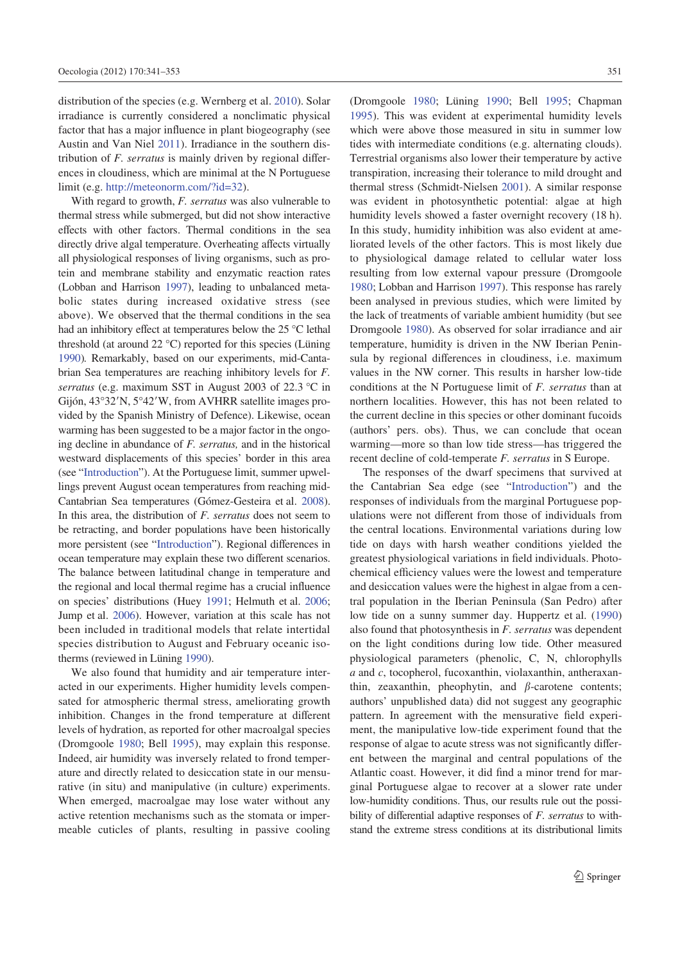distribution of the species (e.g. Wernberg et al. 2010). Solar irradiance is currently considered a nonclimatic physical factor that has a major influence in plant biogeography (see Austin and Van Niel 2011). Irradiance in the southern distribution of *F. serratus* is mainly driven by regional differences in cloudiness, which are minimal at the N Portuguese limit (e.g. http://meteonorm.com/?id=32).

With regard to growth, *F. serratus* was also vulnerable to thermal stress while submerged, but did not show interactive effects with other factors. Thermal conditions in the sea directly drive algal temperature. Overheating affects virtually all physiological responses of living organisms, such as protein and membrane stability and enzymatic reaction rates (Lobban and Harrison 1997), leading to unbalanced metabolic states during increased oxidative stress (see above). We observed that the thermal conditions in the sea had an inhibitory effect at temperatures below the  $25^{\circ}$ C lethal threshold (at around 22 °C) reported for this species (Lüning 1990)*.* Remarkably, based on our experiments, mid-Cantabrian Sea temperatures are reaching inhibitory levels for *F. serratus* (e.g. maximum SST in August 2003 of 22.3 °C in Gijón, 43°32'N, 5°42'W, from AVHRR satellite images provided by the Spanish Ministry of Defence). Likewise, ocean warming has been suggested to be a major factor in the ongoing decline in abundance of *F. serratus,* and in the historical westward displacements of this species' border in this area (see "Introduction"). At the Portuguese limit, summer upwellings prevent August ocean temperatures from reaching mid-Cantabrian Sea temperatures (Gómez-Gesteira et al. 2008). In this area, the distribution of *F. serratus* does not seem to be retracting, and border populations have been historically more persistent (see "Introduction"). Regional differences in ocean temperature may explain these two different scenarios. The balance between latitudinal change in temperature and the regional and local thermal regime has a crucial influence on species' distributions (Huey 1991; Helmuth et al. 2006; Jump et al. 2006). However, variation at this scale has not been included in traditional models that relate intertidal species distribution to August and February oceanic isotherms (reviewed in Lüning 1990).

We also found that humidity and air temperature interacted in our experiments. Higher humidity levels compensated for atmospheric thermal stress, ameliorating growth inhibition. Changes in the frond temperature at different levels of hydration, as reported for other macroalgal species (Dromgoole 1980; Bell 1995), may explain this response. Indeed, air humidity was inversely related to frond temperature and directly related to desiccation state in our mensurative (in situ) and manipulative (in culture) experiments. When emerged, macroalgae may lose water without any active retention mechanisms such as the stomata or impermeable cuticles of plants, resulting in passive cooling (Dromgoole 1980; Lüning 1990; Bell 1995; Chapman 1995). This was evident at experimental humidity levels which were above those measured in situ in summer low tides with intermediate conditions (e.g. alternating clouds). Terrestrial organisms also lower their temperature by active transpiration, increasing their tolerance to mild drought and thermal stress (Schmidt-Nielsen 2001). A similar response was evident in photosynthetic potential: algae at high humidity levels showed a faster overnight recovery (18 h). In this study, humidity inhibition was also evident at ameliorated levels of the other factors. This is most likely due to physiological damage related to cellular water loss resulting from low external vapour pressure (Dromgoole 1980; Lobban and Harrison 1997). This response has rarely been analysed in previous studies, which were limited by the lack of treatments of variable ambient humidity (but see Dromgoole 1980). As observed for solar irradiance and air temperature, humidity is driven in the NW Iberian Peninsula by regional differences in cloudiness, i.e. maximum values in the NW corner. This results in harsher low-tide conditions at the N Portuguese limit of *F. serratus* than at northern localities. However, this has not been related to the current decline in this species or other dominant fucoids (authors' pers. obs). Thus, we can conclude that ocean warming—more so than low tide stress—has triggered the recent decline of cold-temperate *F. serratus* in S Europe.

The responses of the dwarf specimens that survived at the Cantabrian Sea edge (see "Introduction") and the responses of individuals from the marginal Portuguese populations were not different from those of individuals from the central locations. Environmental variations during low tide on days with harsh weather conditions yielded the greatest physiological variations in field individuals. Photochemical efficiency values were the lowest and temperature and desiccation values were the highest in algae from a central population in the Iberian Peninsula (San Pedro) after low tide on a sunny summer day. Huppertz et al. (1990) also found that photosynthesis in *F. serratus* was dependent on the light conditions during low tide. Other measured physiological parameters (phenolic, C, N, chlorophylls *a* and *c*, tocopherol, fucoxanthin, violaxanthin, antheraxanthin, zeaxanthin, pheophytin, and  $\beta$ -carotene contents; authors' unpublished data) did not suggest any geographic pattern. In agreement with the mensurative field experiment, the manipulative low-tide experiment found that the response of algae to acute stress was not significantly different between the marginal and central populations of the Atlantic coast. However, it did find a minor trend for marginal Portuguese algae to recover at a slower rate under low-humidity conditions. Thus, our results rule out the possibility of differential adaptive responses of *F. serratus* to withstand the extreme stress conditions at its distributional limits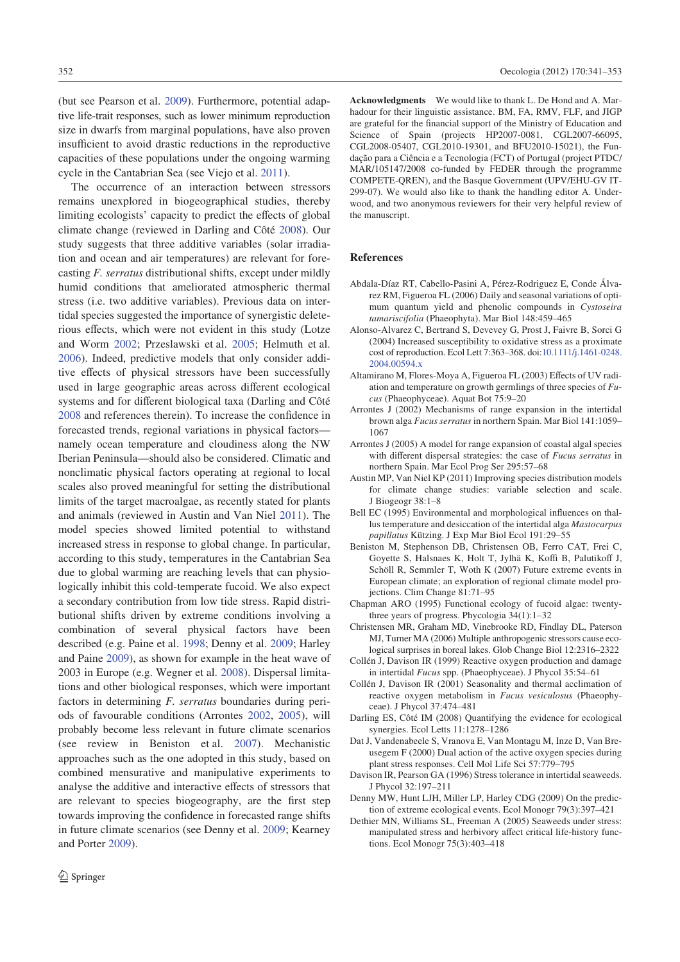(but see Pearson et al. 2009). Furthermore, potential adaptive life-trait responses, such as lower minimum reproduction size in dwarfs from marginal populations, have also proven insufficient to avoid drastic reductions in the reproductive capacities of these populations under the ongoing warming cycle in the Cantabrian Sea (see Viejo et al. 2011).

The occurrence of an interaction between stressors remains unexplored in biogeographical studies, thereby limiting ecologists' capacity to predict the effects of global climate change (reviewed in Darling and Côté 2008). Our study suggests that three additive variables (solar irradiation and ocean and air temperatures) are relevant for forecasting *F. serratus* distributional shifts, except under mildly humid conditions that ameliorated atmospheric thermal stress (i.e. two additive variables). Previous data on intertidal species suggested the importance of synergistic deleterious effects, which were not evident in this study (Lotze and Worm 2002; Przeslawski et al. 2005; Helmuth et al. 2006). Indeed, predictive models that only consider additive effects of physical stressors have been successfully used in large geographic areas across different ecological systems and for different biological taxa (Darling and Côté 2008 and references therein). To increase the confidence in forecasted trends, regional variations in physical factors namely ocean temperature and cloudiness along the NW Iberian Peninsula—should also be considered. Climatic and nonclimatic physical factors operating at regional to local scales also proved meaningful for setting the distributional limits of the target macroalgae, as recently stated for plants and animals (reviewed in Austin and Van Niel 2011). The model species showed limited potential to withstand increased stress in response to global change. In particular, according to this study, temperatures in the Cantabrian Sea due to global warming are reaching levels that can physiologically inhibit this cold-temperate fucoid. We also expect a secondary contribution from low tide stress. Rapid distributional shifts driven by extreme conditions involving a combination of several physical factors have been described (e.g. Paine et al. 1998; Denny et al. 2009; Harley and Paine 2009), as shown for example in the heat wave of 2003 in Europe (e.g. Wegner et al. 2008). Dispersal limitations and other biological responses, which were important factors in determining *F. serratus* boundaries during periods of favourable conditions (Arrontes 2002, 2005), will probably become less relevant in future climate scenarios (see review in Beniston et al. 2007). Mechanistic approaches such as the one adopted in this study, based on combined mensurative and manipulative experiments to analyse the additive and interactive effects of stressors that are relevant to species biogeography, are the first step towards improving the confidence in forecasted range shifts in future climate scenarios (see Denny et al. 2009; Kearney and Porter 2009).

**Acknowledgments** We would like to thank L. De Hond and A. Marhadour for their linguistic assistance. BM, FA, RMV, FLF, and JIGP are grateful for the financial support of the Ministry of Education and Science of Spain (projects HP2007-0081, CGL2007-66095, CGL2008-05407, CGL2010-19301, and BFU2010-15021), the Fundação para a Ciência e a Tecnologia (FCT) of Portugal (project PTDC/ MAR/105147/2008 co-funded by FEDER through the programme COMPETE-QREN), and the Basque Government (UPV/EHU-GV IT-299-07). We would also like to thank the handling editor A. Underwood, and two anonymous reviewers for their very helpful review of the manuscript.

# **References**

- Abdala-Díaz RT, Cabello-Pasini A, Pérez-Rodriguez E, Conde Álvarez RM, Figueroa FL (2006) Daily and seasonal variations of optimum quantum yield and phenolic compounds in *Cystoseira tamariscifolia* (Phaeophyta). Mar Biol 148:459–465
- Alonso-Alvarez C, Bertrand S, Devevey G, Prost J, Faivre B, Sorci G (2004) Increased susceptibility to oxidative stress as a proximate cost of reproduction. Ecol Lett 7:363–368. doi:10.1111/j.1461-0248. 2004.00594.x
- Altamirano M, Flores-Moya A, Figueroa FL (2003) Effects of UV radiation and temperature on growth germlings of three species of *Fucus* (Phaeophyceae). Aquat Bot 75:9–20
- Arrontes J (2002) Mechanisms of range expansion in the intertidal brown alga *Fucus serratus* in northern Spain. Mar Biol 141:1059– 1067
- Arrontes J (2005) A model for range expansion of coastal algal species with different dispersal strategies: the case of *Fucus serratus* in northern Spain. Mar Ecol Prog Ser 295:57–68
- Austin MP, Van Niel KP (2011) Improving species distribution models for climate change studies: variable selection and scale. J Biogeogr 38:1–8
- Bell EC (1995) Environmental and morphological influences on thallus temperature and desiccation of the intertidal alga *Mastocarpus papillatus* Kützing. J Exp Mar Biol Ecol 191:29–55
- Beniston M, Stephenson DB, Christensen OB, Ferro CAT, Frei C, Govette S, Halsnaes K, Holt T, Jylhä K, Koffi B, Palutikoff J, Schöll R, Semmler T, Woth K (2007) Future extreme events in European climate; an exploration of regional climate model projections. Clim Change 81:71–95
- Chapman ARO (1995) Functional ecology of fucoid algae: twentythree years of progress. Phycologia 34(1):1–32
- Christensen MR, Graham MD, Vinebrooke RD, Findlay DL, Paterson MJ, Turner MA (2006) Multiple anthropogenic stressors cause ecological surprises in boreal lakes. Glob Change Biol 12:2316–2322
- Collén J, Davison IR (1999) Reactive oxygen production and damage in intertidal *Fucus* spp. (Phaeophyceae). J Phycol 35:54–61
- Collén J, Davison IR (2001) Seasonality and thermal acclimation of reactive oxygen metabolism in *Fucus vesiculosus* (Phaeophyceae). J Phycol 37:474–481
- Darling ES, Côté IM (2008) Quantifying the evidence for ecological synergies. Ecol Letts 11:1278–1286
- Dat J, Vandenabeele S, Vranova E, Van Montagu M, Inze D, Van Breusegem F (2000) Dual action of the active oxygen species during plant stress responses. Cell Mol Life Sci 57:779–795
- Davison IR, Pearson GA (1996) Stress tolerance in intertidal seaweeds. J Phycol 32:197–211
- Denny MW, Hunt LJH, Miller LP, Harley CDG (2009) On the prediction of extreme ecological events. Ecol Monogr 79(3):397–421
- Dethier MN, Williams SL, Freeman A (2005) Seaweeds under stress: manipulated stress and herbivory affect critical life-history functions. Ecol Monogr 75(3):403–418